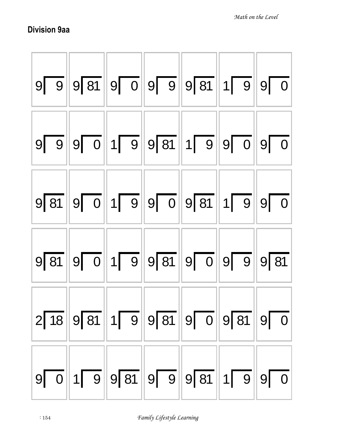## Division 9aa

| $9\sqrt{9}\,9\sqrt{81}\,9\sqrt{0}\,9\sqrt{9}\,9\sqrt{81}\,1\sqrt{9}\,9\sqrt{0}$   |  |  |              |
|-----------------------------------------------------------------------------------|--|--|--------------|
| $9\ \ 9\ \ 9\ \ 0\ \ 1\ \ 9\ \ 81\ \ 1\ \ 9\ \ 9\ \ 0\ \ 0\ \ 9\ \ 0$             |  |  |              |
| $9\sqrt{81}$ 9 0 1 9 9 0 9 81 1 9 9 0                                             |  |  |              |
| $9\sqrt{81}$ 9 0 1 9 9 81 9 0 9 0 9 9 9 81                                        |  |  |              |
| $2\sqrt{18}\,9\sqrt{81}\,1\sqrt{9}\,9\sqrt{81}\,9\sqrt{0}\,9\sqrt{81}\,9\sqrt{0}$ |  |  |              |
| $9\boxed{0}$ 1 9 9 81 9 9 9 81 1 9                                                |  |  | $9\boxed{0}$ |